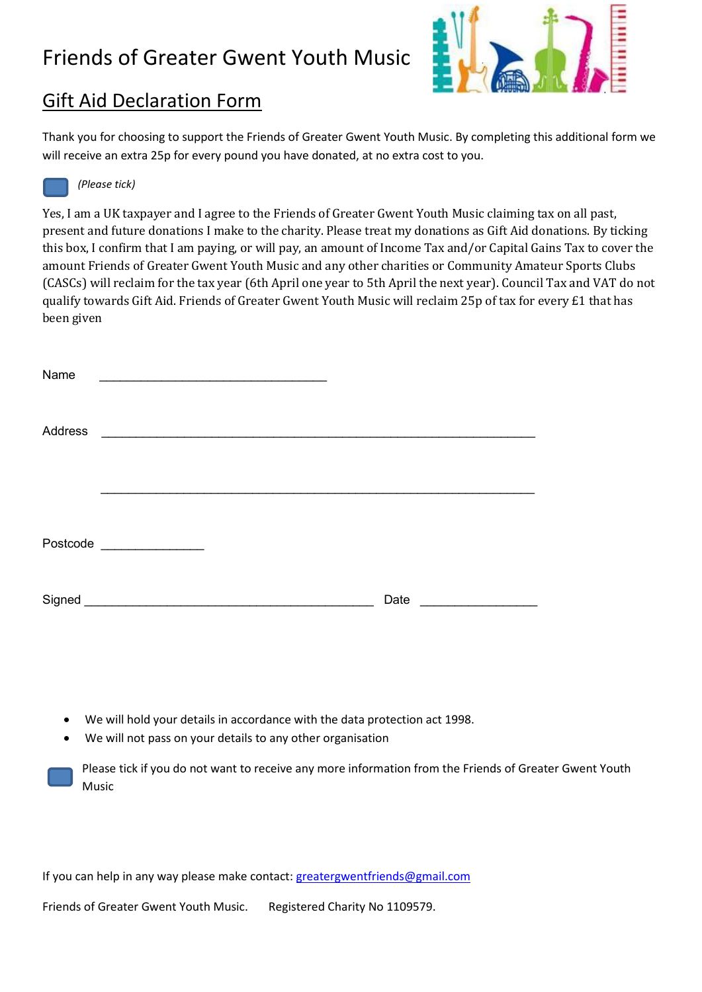## Friends of Greater Gwent Youth Music



### Gift Aid Declaration Form

Thank you for choosing to support the Friends of Greater Gwent Youth Music. By completing this additional form we will receive an extra 25p for every pound you have donated, at no extra cost to you.



#### *(Please tick)*

Yes, I am a UK taxpayer and I agree to the Friends of Greater Gwent Youth Music claiming tax on all past, present and future donations I make to the charity. Please treat my donations as Gift Aid donations. By ticking this box, I confirm that I am paying, or will pay, an amount of Income Tax and/or Capital Gains Tax to cover the amount Friends of Greater Gwent Youth Music and any other charities or Community Amateur Sports Clubs (CASCs) will reclaim for the tax year (6th April one year to 5th April the next year). Council Tax and VAT do not qualify towards Gift Aid. Friends of Greater Gwent Youth Music will reclaim 25p of tax for every £1 that has been given

| Name           | the control of the control of the control of the control of the control of the control of                             |      |  |
|----------------|-----------------------------------------------------------------------------------------------------------------------|------|--|
|                |                                                                                                                       |      |  |
| <b>Address</b> |                                                                                                                       |      |  |
|                |                                                                                                                       |      |  |
|                |                                                                                                                       |      |  |
|                | Postcode ________________                                                                                             |      |  |
|                |                                                                                                                       |      |  |
| Signed         | <u> 2000 - Jan James James James James James James James James James James James James James James James James Ja</u> | Date |  |

- We will hold your details in accordance with the data protection act 1998.
- We will not pass on your details to any other organisation

Please tick if you do not want to receive any more information from the Friends of Greater Gwent Youth Music

If you can help in any way please make contact: greatergwentfriends@gmail.com

Friends of Greater Gwent Youth Music. Registered Charity No 1109579.